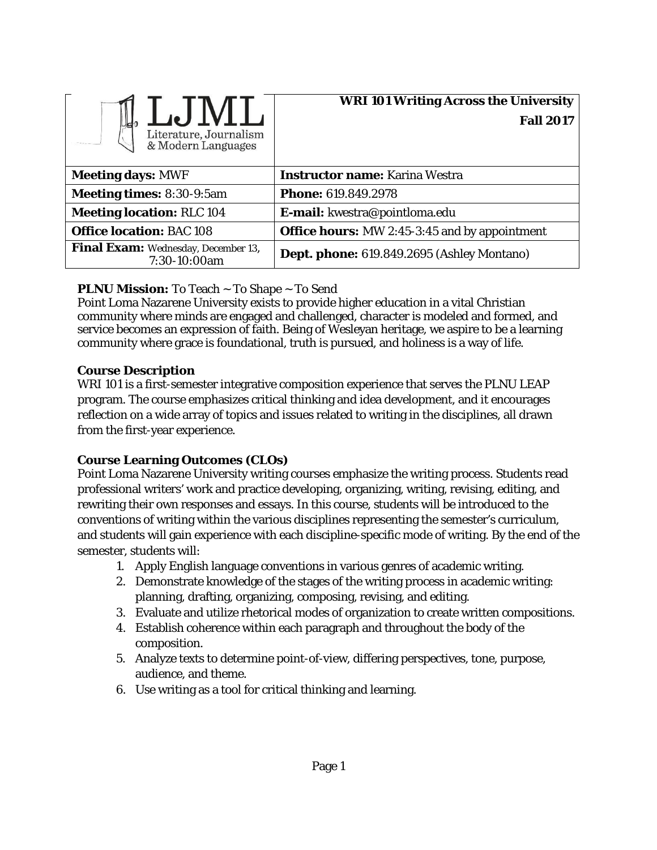| Literature, Journalism<br>& Modern Languages        | <b>WRI 101 Writing Across the University</b><br><b>Fall 2017</b> |
|-----------------------------------------------------|------------------------------------------------------------------|
| <b>Meeting days: MWF</b>                            | <b>Instructor name:</b> Karina Westra                            |
| <b>Meeting times: 8:30-9:5am</b>                    | <b>Phone: 619.849.2978</b>                                       |
| <b>Meeting location: RLC 104</b>                    | E-mail: kwestra@pointloma.edu                                    |
| <b>Office location: BAC 108</b>                     | <b>Office hours:</b> MW 2:45-3:45 and by appointment             |
| Final Exam: Wednesday, December 13,<br>7:30-10:00am | Dept. phone: 619.849.2695 (Ashley Montano)                       |

# **PLNU Mission:** To Teach ~ To Shape ~ To Send

Point Loma Nazarene University exists to provide higher education in a vital Christian community where minds are engaged and challenged, character is modeled and formed, and service becomes an expression of faith. Being of Wesleyan heritage, we aspire to be a learning community where grace is foundational, truth is pursued, and holiness is a way of life.

## **Course Description**

WRI 101 is a first-semester integrative composition experience that serves the PLNU LEAP program. The course emphasizes critical thinking and idea development, and it encourages reflection on a wide array of topics and issues related to writing in the disciplines, all drawn from the first-year experience.

# **Course Learning Outcomes (CLOs)**

Point Loma Nazarene University writing courses emphasize the writing process. Students read professional writers' work and practice developing, organizing, writing, revising, editing, and rewriting their own responses and essays. In this course, students will be introduced to the conventions of writing within the various disciplines representing the semester's curriculum, and students will gain experience with each discipline-specific mode of writing. By the end of the semester, students will:

- 1. Apply English language conventions in various genres of academic writing.
- 2. Demonstrate knowledge of the stages of the writing process in academic writing: planning, drafting, organizing, composing, revising, and editing.
- 3. Evaluate and utilize rhetorical modes of organization to create written compositions.
- 4. Establish coherence within each paragraph and throughout the body of the composition.
- 5. Analyze texts to determine point-of-view, differing perspectives, tone, purpose, audience, and theme.
- 6. Use writing as a tool for critical thinking and learning.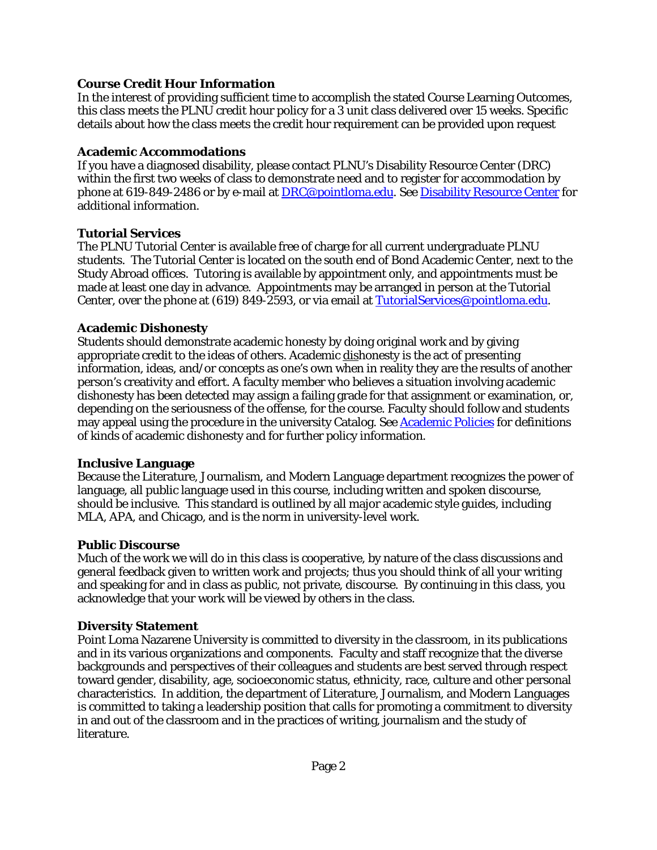## **Course Credit Hour Information**

In the interest of providing sufficient time to accomplish the stated Course Learning Outcomes, this class meets the PLNU credit hour policy for a 3 unit class delivered over 15 weeks. Specific details about how the class meets the credit hour requirement can be provided upon request

#### **Academic Accommodations**

If you have a diagnosed disability, please contact PLNU's Disability Resource Center (DRC) within the first two weeks of class to demonstrate need and to register for accommodation by phone at 619-849-2486 or by e-mail at [DRC@pointloma.edu.](mailto:DRC@pointloma.edu) See [Disability Resource Center](http://www.pointloma.edu/experience/offices/administrative-offices/academic-advising-office/disability-resource-center) for additional information.

## **Tutorial Services**

The PLNU Tutorial Center is available free of charge for all current undergraduate PLNU students. The Tutorial Center is located on the south end of Bond Academic Center, next to the Study Abroad offices. Tutoring is available by appointment only, and appointments must be made at least one day in advance. Appointments may be arranged in person at the Tutorial Center, over the phone at (619) 849-2593, or via email at **TutorialServices@pointloma.edu**.

## **Academic Dishonesty**

Students should demonstrate academic honesty by doing original work and by giving appropriate credit to the ideas of others. Academic dishonesty is the act of presenting information, ideas, and/or concepts as one's own when in reality they are the results of another person's creativity and effort. A faculty member who believes a situation involving academic dishonesty has been detected may assign a failing grade for that assignment or examination, or, depending on the seriousness of the offense, for the course. Faculty should follow and students may appeal using the procedure in the university Catalog. See [Academic Policies](http://catalog.pointloma.edu/content.php?catoid=18&navoid=1278) for definitions of kinds of academic dishonesty and for further policy information.

# **Inclusive Language**

Because the Literature, Journalism, and Modern Language department recognizes the power of language, all public language used in this course, including written and spoken discourse, should be inclusive. This standard is outlined by all major academic style guides, including MLA, APA, and Chicago, and is the norm in university-level work.

# **Public Discourse**

Much of the work we will do in this class is cooperative, by nature of the class discussions and general feedback given to written work and projects; thus you should think of all your writing and speaking for and in class as public, not private, discourse. By continuing in this class, you acknowledge that your work will be viewed by others in the class.

# **Diversity Statement**

Point Loma Nazarene University is committed to diversity in the classroom, in its publications and in its various organizations and components. Faculty and staff recognize that the diverse backgrounds and perspectives of their colleagues and students are best served through respect toward gender, disability, age, socioeconomic status, ethnicity, race, culture and other personal characteristics. In addition, the department of Literature, Journalism, and Modern Languages is committed to taking a leadership position that calls for promoting a commitment to diversity in and out of the classroom and in the practices of writing, journalism and the study of literature.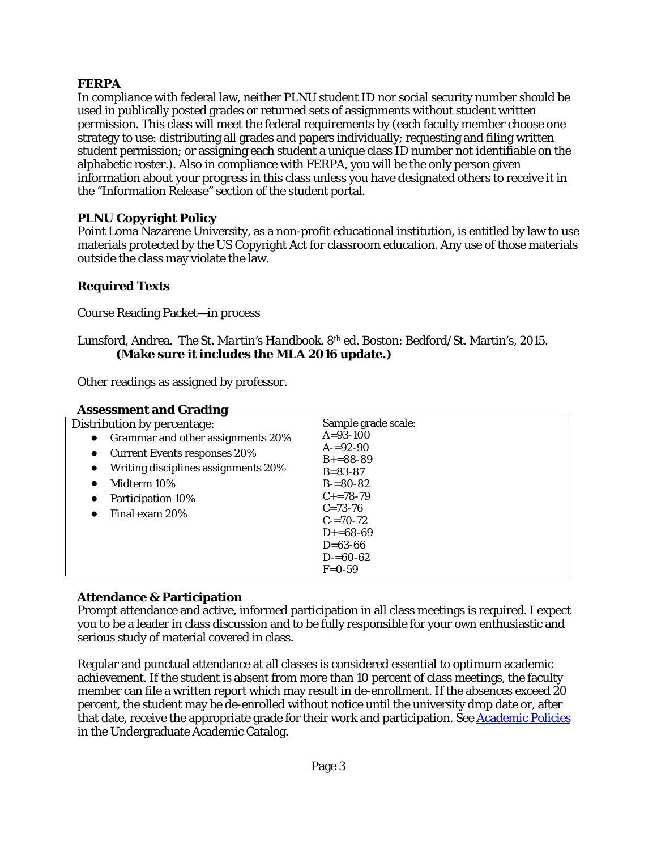# **FERPA**

In compliance with federal law, neither PLNU student ID nor social security number should be used in publically posted grades or returned sets of assignments without student written permission. This class will meet the federal requirements by (each faculty member choose one strategy to use: distributing all grades and papers individually; requesting and filing written student permission; or assigning each student a unique class ID number not identifiable on the alphabetic roster.). Also in compliance with FERPA, you will be the only person given information about your progress in this class unless you have designated others to receive it in the "Information Release" section of the student portal.

# **PLNU Copyright Policy**

Point Loma Nazarene University, as a non-profit educational institution, is entitled by law to use materials protected by the US Copyright Act for classroom education. Any use of those materials outside the class may violate the law.

# **Required Texts**

Course Reading Packet—in process

#### Lunsford, Andrea. *The St. Martin's Handbook.* 8th ed. Boston: Bedford/St. Martin's, 2015. **(Make sure it includes the MLA 2016 update.)**

Other readings as assigned by professor.

| Assessment and Grading                           |                     |
|--------------------------------------------------|---------------------|
| Distribution by percentage:                      | Sample grade scale: |
| Grammar and other assignments 20%<br>$\bullet$   | $A = 93 - 100$      |
| <b>Current Events responses 20%</b><br>$\bullet$ | $A = 92-90$         |
|                                                  | $B+=88-89$          |
| Writing disciplines assignments 20%<br>$\bullet$ | $B = 83 - 87$       |
| Midterm 10%<br>$\bullet$                         | $B = 80 - 82$       |
| <b>Participation 10%</b><br>$\bullet$            | $C_{+}=78-79$       |
| Final exam 20%<br>$\bullet$                      | $C = 73 - 76$       |
|                                                  | $C = 70-72$         |
|                                                  | $D+=68-69$          |
|                                                  | $D = 63 - 66$       |
|                                                  | $D = 60-62$         |
|                                                  | $F = 0.59$          |

#### **Assessment and Grading**

# **Attendance & Participation**

Prompt attendance and active, informed participation in all class meetings is required. I expect you to be a leader in class discussion and to be fully responsible for your own enthusiastic and serious study of material covered in class.

Regular and punctual attendance at all classes is considered essential to optimum academic achievement. If the student is absent from more than 10 percent of class meetings, the faculty member can file a written report which may result in de-enrollment. If the absences exceed 20 percent, the student may be de-enrolled without notice until the university drop date or, after that date, receive the appropriate grade for their work and participation. See [Academic Policies](http://catalog.pointloma.edu/content.php?catoid=18&navoid=1278) in the Undergraduate Academic Catalog.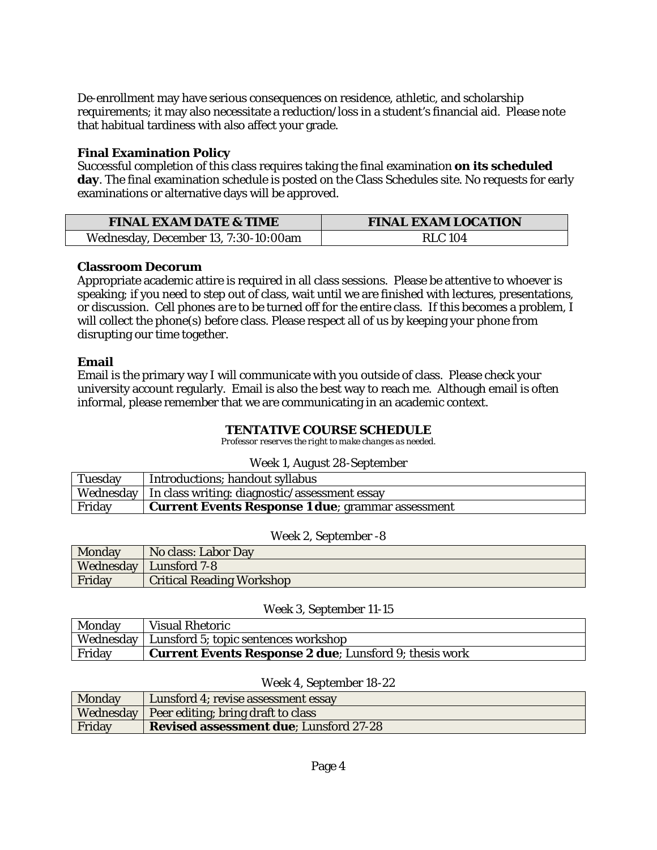De-enrollment may have serious consequences on residence, athletic, and scholarship requirements; it may also necessitate a reduction/loss in a student's financial aid. Please note that habitual tardiness with also affect your grade.

#### **Final Examination Policy**

Successful completion of this class requires taking the final examination **on its scheduled day**. The final examination schedule is posted on the Class Schedules site. No requests for early examinations or alternative days will be approved.

| <b>FINAL EXAM DATE &amp; TIME</b>    | <b>FINAL EXAM LOCATION</b> |  |
|--------------------------------------|----------------------------|--|
| Wednesday, December 13, 7:30-10:00am | <b>RLC</b> 104             |  |

#### **Classroom Decorum**

Appropriate academic attire is required in all class sessions. Please be attentive to whoever is speaking; if you need to step out of class, wait until we are finished with lectures, presentations, or discussion*. Cell phones are to be turned off for the entire class.* If this becomes a problem, I will collect the phone(s) before class. Please respect all of us by keeping your phone from disrupting our time together.

## **Email**

Email is the primary way I will communicate with you outside of class. Please check your university account regularly. Email is also the best way to reach me. Although email is often informal, please remember that we are communicating in an academic context.

#### **TENTATIVE COURSE SCHEDULE**

*Professor reserves the right to make changes as needed.*

#### Week 1, August 28-September

| <b>Tuesday</b> | Introductions; handout syllabus                           |
|----------------|-----------------------------------------------------------|
|                | Wednesday   In class writing: diagnostic/assessment essay |
| Friday         | <b>Current Events Response 1 due</b> ; grammar assessment |

#### Week 2, September -8

| Monday | No class: Labor Day              |
|--------|----------------------------------|
|        | <b>Wednesday</b>   Lunsford 7-8  |
| Friday | <b>Critical Reading Workshop</b> |

#### Week 3, September 11-15

| Monday | <b>Visual Rhetoric</b>                                        |
|--------|---------------------------------------------------------------|
|        | Wednesday   Lunsford 5; topic sentences workshop              |
| Friday | <b>Current Events Response 2 due:</b> Lunsford 9; thesis work |

#### Week 4, September 18-22

| Monday | Lunsford 4; revise assessment essay            |
|--------|------------------------------------------------|
|        | Wednesday   Peer editing; bring draft to class |
| Friday | <b>Revised assessment due: Lunsford 27-28</b>  |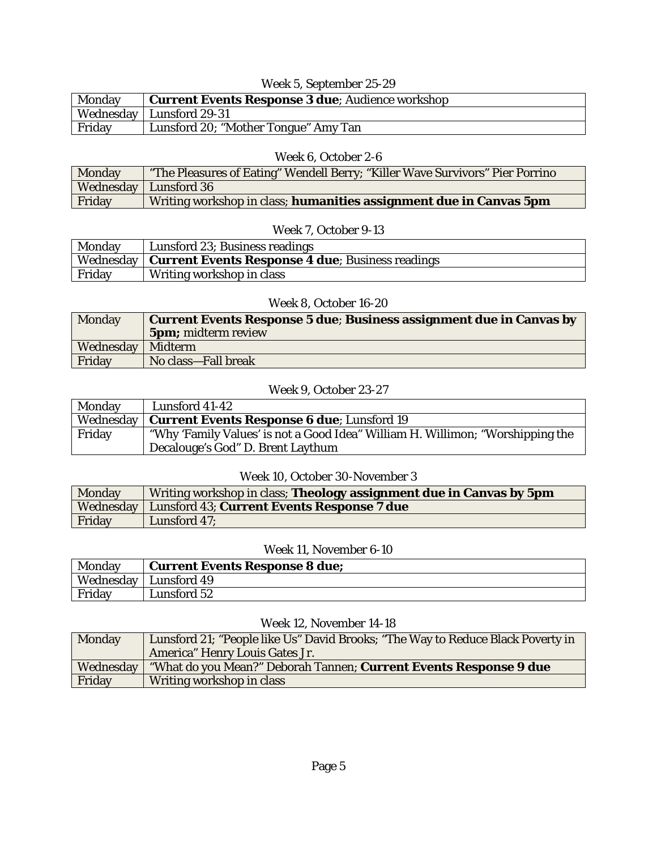# Week 5, September 25-29

| Monday | Current Events Response 3 due; Audience workshop |
|--------|--------------------------------------------------|
|        | Wednesday   Lunsford 29-31                       |
| Friday | Lunsford 20; "Mother Tongue" Amy Tan             |

## Week 6, October 2-6

| Monday | "The Pleasures of Eating" Wendell Berry; "Killer Wave Survivors" Pier Porrino |
|--------|-------------------------------------------------------------------------------|
|        | Wednesday   Lunsford 36                                                       |
| Friday | Writing workshop in class; humanities assignment due in Canvas 5pm            |

#### Week 7, October 9-13

| <b>Monday</b> | Lunsford 23; Business readings                               |
|---------------|--------------------------------------------------------------|
|               | Wednesday   Current Events Response 4 due; Business readings |
| Friday        | Writing workshop in class                                    |

## Week 8, October 16-20

| Monday              | <b>Current Events Response 5 due; Business assignment due in Canvas by</b> |
|---------------------|----------------------------------------------------------------------------|
|                     | <b>5pm;</b> midterm review                                                 |
| Wednesday   Midterm |                                                                            |
| Friday              | No class-Fall break                                                        |

# Week 9, October 23-27

| Monday | Lunsford 41-42                                                                 |
|--------|--------------------------------------------------------------------------------|
|        | Wednesday   Current Events Response 6 due; Lunsford 19                         |
| Friday | "Why 'Family Values' is not a Good Idea" William H. Willimon; "Worshipping the |
|        | Decalouge's God" D. Brent Laythum                                              |

#### Week 10, October 30-November 3

| <b>Monday</b> | Writing workshop in class; Theology assignment due in Canvas by 5pm |
|---------------|---------------------------------------------------------------------|
|               | Wednesday   Lunsford 43; Current Events Response 7 due              |
| Friday        | Lunsford 47:                                                        |

#### Week 11, November 6-10

| Monday    | <b>Current Events Response 8 due:</b> |
|-----------|---------------------------------------|
| Wednesday | Lunsford 49                           |
| Friday    | Lunsford 52-                          |

## Week 12, November 14-18

| Monday    | Lunsford 21; "People like Us" David Brooks; "The Way to Reduce Black Poverty in |
|-----------|---------------------------------------------------------------------------------|
|           | America" Henry Louis Gates Jr.                                                  |
| Wednesday | "What do you Mean?" Deborah Tannen; Current Events Response 9 due               |
| Friday    | Writing workshop in class                                                       |